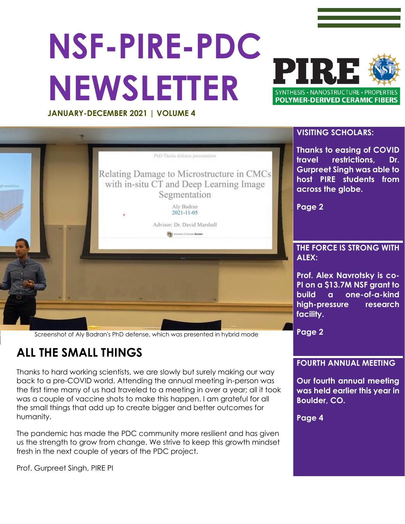# **NSF-PIRE-PDC NEWSLETTER**



**JANUARY-DECEMBER 2021 | VOLUME 4**



Screenshot of Aly Badran's PhD defense, which was presented in hybrid mode

### **ALL THE SMALL THINGS**

Thanks to hard working scientists, we are slowly but surely making our way back to a pre-COVID world. Attending the annual meeting in-person was the first time many of us had traveled to a meeting in over a year; all it took was a couple of vaccine shots to make this happen. I am grateful for all the small things that add up to create bigger and better outcomes for humanity.

The pandemic has made the PDC community more resilient and has given us the strength to grow from change. We strive to keep this growth mindset fresh in the next couple of years of the PDC project.

Prof. Gurpreet Singh, PIRE PI

#### **VISITING SCHOLARS:**

**Thanks to easing of COVID travel restrictions, Dr. Gurpreet Singh was able to host PIRE students from across the globe.** 

## **THE FORCE IS STRONG WITH**

**Prof. Alex Navrotsky is co-PI on a \$13.7M NSF grant to build a one-of-a-kind high-pressure research** 

**Page 2**

#### **FOURTH ANNUAL MEETING**

**Our fourth annual meeting was held earlier this year in Boulder, CO.** 

**Page 4**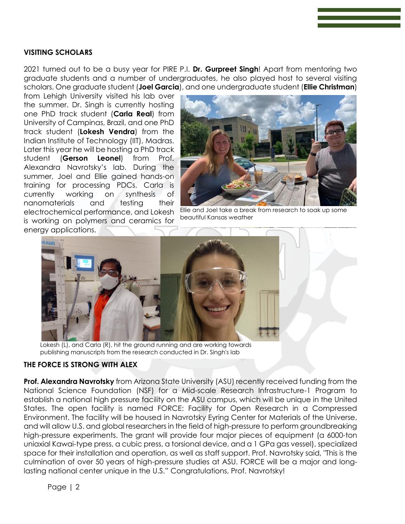#### **VISITING SCHOLARS**

2021 turned out to be a busy year for PIRE P.I. **Dr. Gurpreet Singh**! Apart from mentoring two graduate students and a number of undergraduates, he also played host to several visiting scholars. One graduate student (**Joel Garcia**), and one undergraduate student (**Ellie Christman**)

from Lehigh University visited his lab over the summer. Dr. Singh is currently hosting one PhD track student (**Carla Real**) from University of Campinas, Brazil, and one PhD track student (**Lokesh Vendra**) from the Indian Institute of Technology (IIT), Madras. Later this year he will be hosting a PhD track student (**Gerson Leonel**) from Prof. Alexandra Navrotsky's lab. During the summer, Joel and Ellie gained hands-on training for processing PDCs. Carla is currently working on synthesis of nanomaterials and testing their electrochemical performance, and Lokesh is working on polymers and ceramics for energy applications.



Ellie and Joel take a break from research to soak up some beautiful Kansas weather



Lokesh (L), and Carla (R), hit the ground running and are working towards publishing manuscripts from the research conducted in Dr. Singh's lab

#### **THE FORCE IS STRONG WITH ALEX**

**Prof. Alexandra Navrotsky** from Arizona State University (ASU) recently received funding from the National Science Foundation (NSF) for a Mid-scale Research Infrastructure-1 Program to establish a national high pressure facility on the ASU campus, which will be unique in the United States. The open facility is named FORCE: Facility for Open Research in a Compressed Environment. The facility will be housed in Navrotsky Eyring Center for Materials of the Universe, and will allow U.S. and global researchers in the field of high-pressure to perform groundbreaking high-pressure experiments. The grant will provide four major pieces of equipment (a 6000-ton uniaxial Kawai-type press, a cubic press, a torsional device, and a 1 GPa gas vessel), specialized space for their installation and operation, as well as staff support. Prof. Navrotsky said, "This is the culmination of over 50 years of high-pressure studies at ASU. FORCE will be a major and longlasting national center unique in the U.S." Congratulations, Prof. Navrotsky!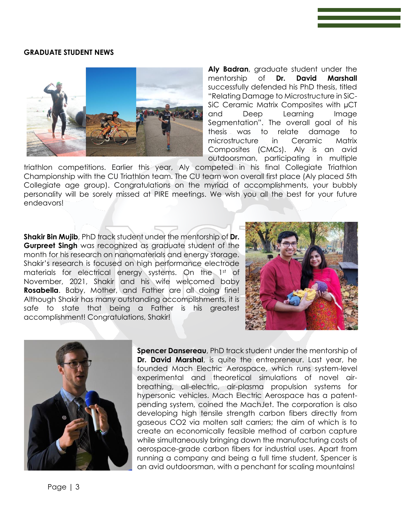#### **GRADUATE STUDENT NEWS**



**Aly Badran**, graduate student under the mentorship of **Dr. David Marshall** successfully defended his PhD thesis, titled "Relating Damage to Microstructure in SiC-SiC Ceramic Matrix Composites with µCT and Deep Learning Image Segmentation". The overall goal of his thesis was to relate damage to microstructure in Ceramic Matrix Composites (CMCs). Aly is an avid outdoorsman, participating in multiple

triathlon competitions. Earlier this year, Aly competed in his final Collegiate Triathlon Championship with the CU Triathlon team. The CU team won overall first place (Aly placed 5th Collegiate age group). Congratulations on the myriad of accomplishments, your bubbly personality will be sorely missed at PIRE meetings. We wish you all the best for your future endeavors!

**Shakir Bin Mujib**, PhD track student under the mentorship of **Dr. Gurpreet Singh** was recognized as graduate student of the month for his research on nanomaterials and energy storage. Shakir's research is focused on high performance electrode materials for electrical energy systems. On the 1st of November, 2021, Shakir and his wife welcomed baby **Rosabella**. Baby, Mother, and Father are all doing fine! Although Shakir has many outstanding accomplishments, it is safe to state that being a Father is his greatest accomplishment! Congratulations, Shakir!





**Spencer Dansereau**, PhD track student under the mentorship of **Dr. David Marshal**, is quite the entrepreneur. Last year, he founded Mach Electric Aerospace, which runs system-level experimental and theoretical simulations of novel airbreathing, all-electric, air-plasma propulsion systems for hypersonic vehicles. Mach Electric Aerospace has a patentpending system, coined the MachJet. The corporation is also developing high tensile strength carbon fibers directly from gaseous CO2 via molten salt carriers; the aim of which is to create an economically feasible method of carbon capture while simultaneously bringing down the manufacturing costs of aerospace-grade carbon fibers for industrial uses. Apart from running a company and being a full time student, Spencer is an avid outdoorsman, with a penchant for scaling mountains!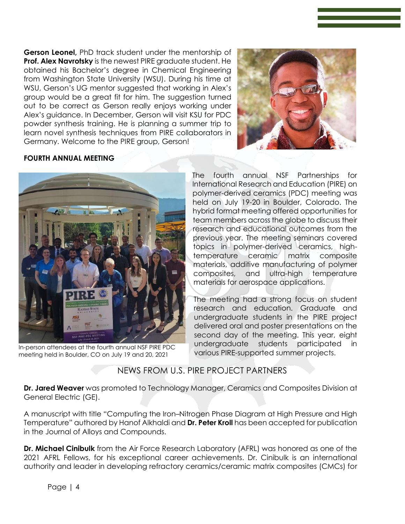**Gerson Leonel,** PhD track student under the mentorship of **Prof. Alex Navrotsky** is the newest PIRE graduate student. He obtained his Bachelor's degree in Chemical Engineering from Washington State University (WSU). During his time at WSU, Gerson's UG mentor suggested that working in Alex's group would be a great fit for him. The suggestion turned out to be correct as Gerson really enjoys working under Alex's guidance. In December, Gerson will visit KSU for PDC powder synthesis training. He is planning a summer trip to learn novel synthesis techniques from PIRE collaborators in Germany. Welcome to the PIRE group, Gerson!



#### **FOURTH ANNUAL MEETING**



In-person attendees at the fourth annual NSF PIRE PDC meeting held in Boulder, CO on July 19 and 20, 2021

The fourth annual NSF Partnerships for International Research and Education (PIRE) on polymer-derived ceramics (PDC) meeting was held on July 19-20 in Boulder, Colorado. The hybrid format meeting offered opportunities for team members across the globe to discuss their research and educational outcomes from the previous year. The meeting seminars covered topics in polymer-derived ceramics, hightemperature ceramic matrix composite materials, additive manufacturing of polymer composites, and ultra-high temperature materials for aerospace applications.

The meeting had a strong focus on student research and education. Graduate and undergraduate students in the PIRE project delivered oral and poster presentations on the second day of the meeting. This year, eight undergraduate students participated in various PIRE-supported summer projects.

#### NEWS FROM U.S. PIRE PROJECT PARTNERS

**Dr. Jared Weaver** was promoted to Technology Manager, Ceramics and Composites Division at General Electric (GE).

A manuscript with title "Computing the Iron–Nitrogen Phase Diagram at High Pressure and High Temperature" authored by Hanof Alkhaldi and **Dr. Peter Kroll** has been accepted for publication in the Journal of Alloys and Compounds.

**Dr. Michael Cinibulk** from the Air Force Research Laboratory (AFRL) was honored as one of the 2021 AFRL Fellows, for his exceptional career achievements. Dr. Cinibulk is an international authority and leader in developing refractory ceramics/ceramic matrix composites (CMCs) for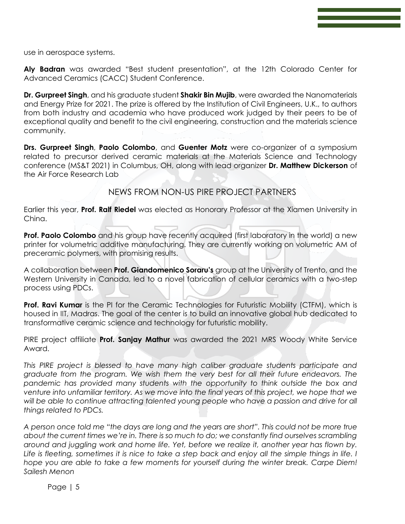use in aerospace systems.

**Aly Badran** was awarded "Best student presentation", at the 12th Colorado Center for Advanced Ceramics (CACC) Student Conference.

**Dr. Gurpreet Singh**, and his graduate student **Shakir Bin Mujib**, were awarded the Nanomaterials and Energy Prize for 2021. The prize is offered by the Institution of Civil Engineers, U.K., to authors from both industry and academia who have produced work judged by their peers to be of exceptional quality and benefit to the civil engineering, construction and the materials science community.

**Drs. Gurpreet Singh**, **Paolo Colombo**, and **Guenter Motz** were co-organizer of a symposium related to precursor derived ceramic materials at the Materials Science and Technology conference (MS&T 2021) in Columbus, OH, along with lead organizer **Dr. Matthew Dickerson** of the Air Force Research Lab

#### NEWS FROM NON-US PIRE PROJECT PARTNERS

Earlier this year, **Prof. Ralf Riedel** was elected as Honorary Professor at the Xiamen University in China.

**Prof. Paolo Colombo** and his group have recently acquired (first laboratory in the world) a new printer for volumetric additive manufacturing. They are currently working on volumetric AM of preceramic polymers, with promising results.

A collaboration between **Prof. Giandomenico Soraru's** group at the University of Trento, and the Western University in Canada, led to a novel fabrication of cellular ceramics with a two-step process using PDCs.

**Prof. Ravi Kumar** is the PI for the Ceramic Technologies for Futuristic Mobility (CTFM), which is housed in IIT, Madras. The goal of the center is to build an innovative global hub dedicated to transformative ceramic science and technology for futuristic mobility.

PIRE project affiliate **Prof. Sanjay Mathur** was awarded the 2021 MRS Woody White Service Award.

*This PIRE project is blessed to have many high caliber graduate students participate and graduate from the program. We wish them the very best for all their future endeavors. The pandemic has provided many students with the opportunity to think outside the box and venture into unfamiliar territory. As we move into the final years of this project, we hope that we*  will be able to continue attracting talented young people who have a passion and drive for all *things related to PDCs.* 

*A person once told me "the days are long and the years are short". This could not be more true about the current times we're in. There is so much to do; we constantly find ourselves scrambling around and juggling work and home life. Yet, before we realize it, another year has flown by. Life is fleeting, sometimes it is nice to take a step back and enjoy all the simple things in life. I hope you are able to take a few moments for yourself during the winter break. Carpe Diem! Sailesh Menon*

Page | 5